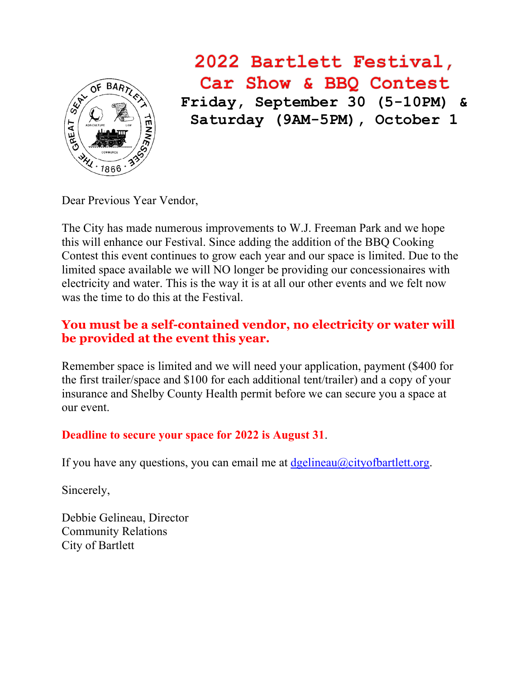

# 2022 Bartlett Festival, Car Show & BBQ Contest **Friday, September 30 (5-10PM) & Saturday (9AM-5PM), October 1**

Dear Previous Year Vendor,

The City has made numerous improvements to W.J. Freeman Park and we hope this will enhance our Festival. Since adding the addition of the BBQ Cooking Contest this event continues to grow each year and our space is limited. Due to the limited space available we will NO longer be providing our concessionaires with electricity and water. This is the way it is at all our other events and we felt now was the time to do this at the Festival.

### **You must be a self-contained vendor, no electricity or water will be provided at the event this year.**

Remember space is limited and we will need your application, payment (\$400 for the first trailer/space and \$100 for each additional tent/trailer) and a copy of your insurance and Shelby County Health permit before we can secure you a space at our event.

### **Deadline to secure your space for 2022 is August 31**.

If you have any questions, you can email me at  $\deg$  lineau $\omega$ city of bartlett.org.

Sincerely,

Debbie Gelineau, Director Community Relations City of Bartlett